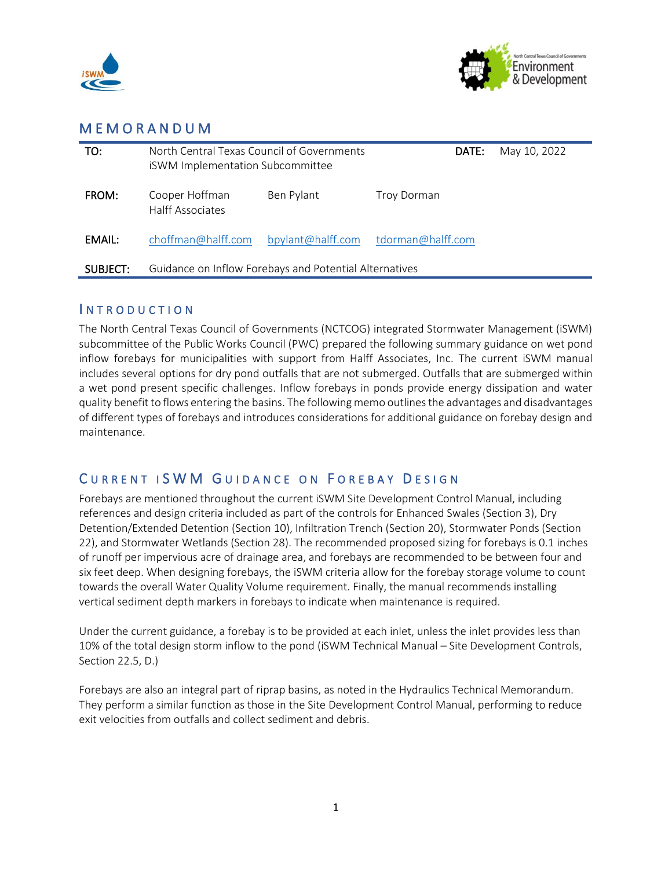



# M E M O R A N D U M

| TO:      | North Central Texas Council of Governments<br><b>iSWM Implementation Subcommittee</b> |                   | DATE:             | May 10, 2022 |
|----------|---------------------------------------------------------------------------------------|-------------------|-------------------|--------------|
| FROM:    | Cooper Hoffman<br><b>Halff Associates</b>                                             | Ben Pylant        | Troy Dorman       |              |
| EMAIL:   | choffman@halff.com                                                                    | bpylant@halff.com | tdorman@halff.com |              |
| SUBJECT: | Guidance on Inflow Forebays and Potential Alternatives                                |                   |                   |              |

## **INTRODUCTION**

The North Central Texas Council of Governments (NCTCOG) integrated Stormwater Management (iSWM) subcommittee of the Public Works Council (PWC) prepared the following summary guidance on wet pond inflow forebays for municipalities with support from Halff Associates, Inc. The current iSWM manual includes several options for dry pond outfalls that are not submerged. Outfalls that are submerged within a wet pond present specific challenges. Inflow forebays in ponds provide energy dissipation and water quality benefit to flows entering the basins. The following memo outlines the advantages and disadvantages of different types of forebays and introduces considerations for additional guidance on forebay design and maintenance.

# CURRENT ISWM GUIDANCE ON FOREBAY DESIGN

Forebays are mentioned throughout the current iSWM Site Development Control Manual, including references and design criteria included as part of the controls for Enhanced Swales (Section 3), Dry Detention/Extended Detention (Section 10), Infiltration Trench (Section 20), Stormwater Ponds (Section 22), and Stormwater Wetlands (Section 28). The recommended proposed sizing for forebays is 0.1 inches of runoff per impervious acre of drainage area, and forebays are recommended to be between four and six feet deep. When designing forebays, the iSWM criteria allow for the forebay storage volume to count towards the overall Water Quality Volume requirement. Finally, the manual recommends installing vertical sediment depth markers in forebays to indicate when maintenance is required.

Under the current guidance, a forebay is to be provided at each inlet, unless the inlet provides less than 10% of the total design storm inflow to the pond (iSWM Technical Manual – Site Development Controls, Section 22.5, D.)

Forebays are also an integral part of riprap basins, as noted in the Hydraulics Technical Memorandum. They perform a similar function as those in the Site Development Control Manual, performing to reduce exit velocities from outfalls and collect sediment and debris.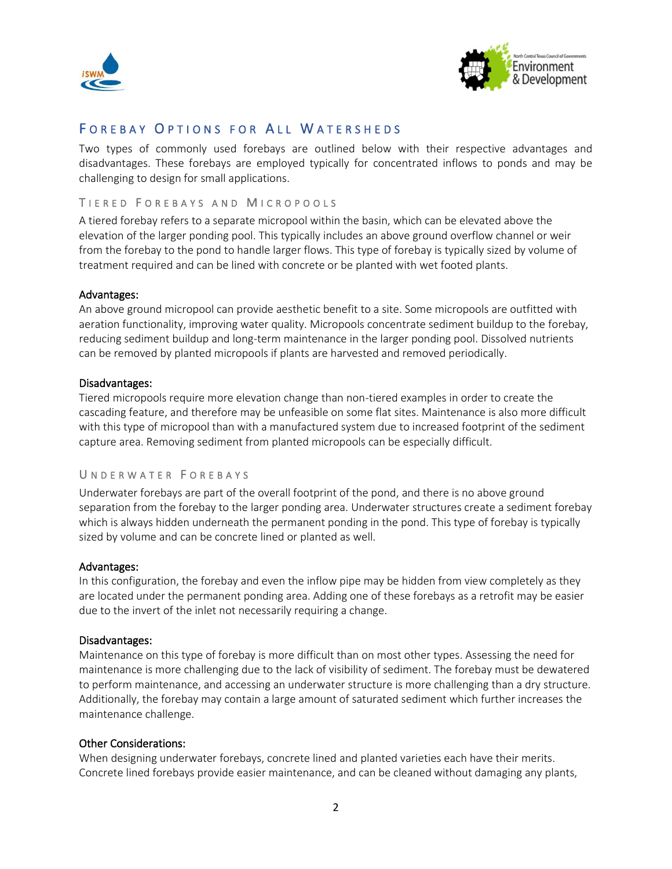



## FOREBAY OPTIONS FOR ALL WATERSHEDS

Two types of commonly used forebays are outlined below with their respective advantages and disadvantages. These forebays are employed typically for concentrated inflows to ponds and may be challenging to design for small applications.

### TIERED FOREBAYS AND MICROPOOLS

A tiered forebay refers to a separate micropool within the basin, which can be elevated above the elevation of the larger ponding pool. This typically includes an above ground overflow channel or weir from the forebay to the pond to handle larger flows. This type of forebay is typically sized by volume of treatment required and can be lined with concrete or be planted with wet footed plants.

#### Advantages:

An above ground micropool can provide aesthetic benefit to a site. Some micropools are outfitted with aeration functionality, improving water quality. Micropools concentrate sediment buildup to the forebay, reducing sediment buildup and long-term maintenance in the larger ponding pool. Dissolved nutrients can be removed by planted micropools if plants are harvested and removed periodically.

### Disadvantages:

Tiered micropools require more elevation change than non-tiered examples in order to create the cascading feature, and therefore may be unfeasible on some flat sites. Maintenance is also more difficult with this type of micropool than with a manufactured system due to increased footprint of the sediment capture area. Removing sediment from planted micropools can be especially difficult.

## U N D E R W A T E R F O R E B A Y S

Underwater forebays are part of the overall footprint of the pond, and there is no above ground separation from the forebay to the larger ponding area. Underwater structures create a sediment forebay which is always hidden underneath the permanent ponding in the pond. This type of forebay is typically sized by volume and can be concrete lined or planted as well.

#### Advantages:

In this configuration, the forebay and even the inflow pipe may be hidden from view completely as they are located under the permanent ponding area. Adding one of these forebays as a retrofit may be easier due to the invert of the inlet not necessarily requiring a change.

#### Disadvantages:

Maintenance on this type of forebay is more difficult than on most other types. Assessing the need for maintenance is more challenging due to the lack of visibility of sediment. The forebay must be dewatered to perform maintenance, and accessing an underwater structure is more challenging than a dry structure. Additionally, the forebay may contain a large amount of saturated sediment which further increases the maintenance challenge.

#### Other Considerations:

When designing underwater forebays, concrete lined and planted varieties each have their merits. Concrete lined forebays provide easier maintenance, and can be cleaned without damaging any plants,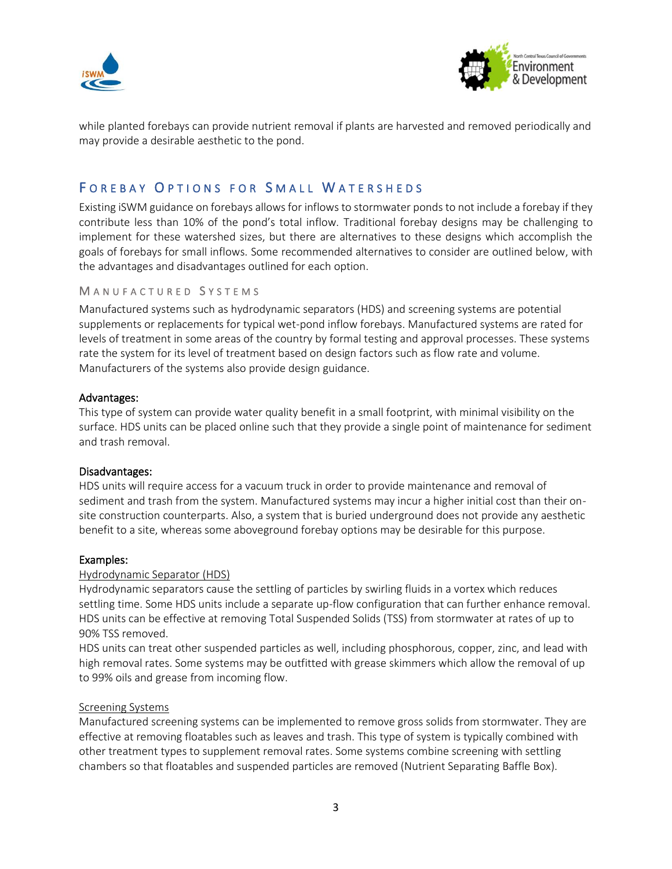



while planted forebays can provide nutrient removal if plants are harvested and removed periodically and may provide a desirable aesthetic to the pond.

# FOREBAY OPTIONS FOR SMALL WATERSHEDS

Existing iSWM guidance on forebays allows for inflows to stormwater ponds to not include a forebay if they contribute less than 10% of the pond's total inflow. Traditional forebay designs may be challenging to implement for these watershed sizes, but there are alternatives to these designs which accomplish the goals of forebays for small inflows. Some recommended alternatives to consider are outlined below, with the advantages and disadvantages outlined for each option.

#### MANUFACTURED SYSTEMS

Manufactured systems such as hydrodynamic separators (HDS) and screening systems are potential supplements or replacements for typical wet-pond inflow forebays. Manufactured systems are rated for levels of treatment in some areas of the country by formal testing and approval processes. These systems rate the system for its level of treatment based on design factors such as flow rate and volume. Manufacturers of the systems also provide design guidance.

#### Advantages:

This type of system can provide water quality benefit in a small footprint, with minimal visibility on the surface. HDS units can be placed online such that they provide a single point of maintenance for sediment and trash removal.

#### Disadvantages:

HDS units will require access for a vacuum truck in order to provide maintenance and removal of sediment and trash from the system. Manufactured systems may incur a higher initial cost than their onsite construction counterparts. Also, a system that is buried underground does not provide any aesthetic benefit to a site, whereas some aboveground forebay options may be desirable for this purpose.

#### Examples:

#### Hydrodynamic Separator (HDS)

Hydrodynamic separators cause the settling of particles by swirling fluids in a vortex which reduces settling time. Some HDS units include a separate up-flow configuration that can further enhance removal. HDS units can be effective at removing Total Suspended Solids (TSS) from stormwater at rates of up to 90% TSS removed.

HDS units can treat other suspended particles as well, including phosphorous, copper, zinc, and lead with high removal rates. Some systems may be outfitted with grease skimmers which allow the removal of up to 99% oils and grease from incoming flow.

#### Screening Systems

Manufactured screening systems can be implemented to remove gross solids from stormwater. They are effective at removing floatables such as leaves and trash. This type of system is typically combined with other treatment types to supplement removal rates. Some systems combine screening with settling chambers so that floatables and suspended particles are removed (Nutrient Separating Baffle Box).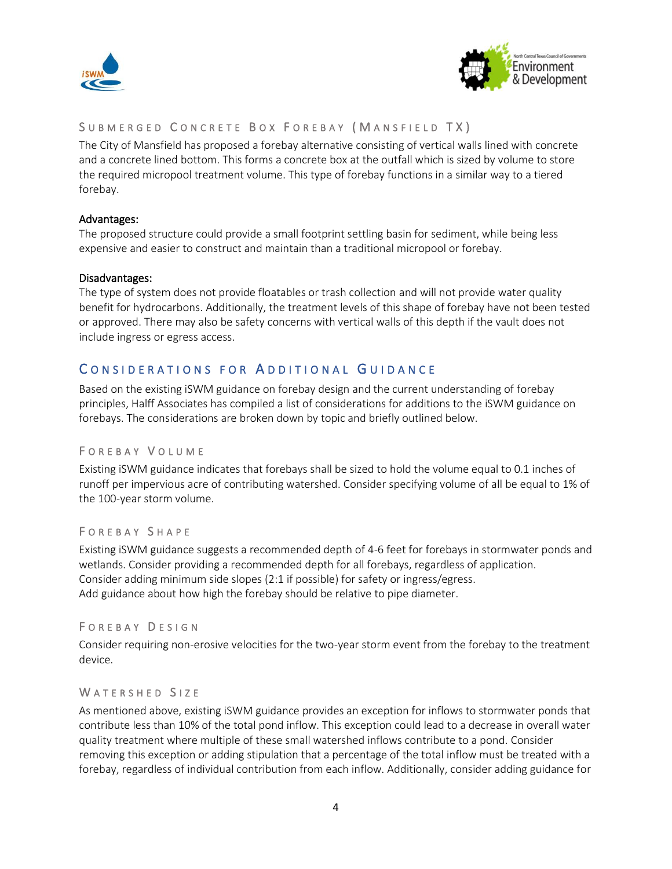



## SUBMERGED CONCRETE BOX FOREBAY (MANSFIELD TX)

The City of Mansfield has proposed a forebay alternative consisting of vertical walls lined with concrete and a concrete lined bottom. This forms a concrete box at the outfall which is sized by volume to store the required micropool treatment volume. This type of forebay functions in a similar way to a tiered forebay.

### Advantages:

The proposed structure could provide a small footprint settling basin for sediment, while being less expensive and easier to construct and maintain than a traditional micropool or forebay.

### Disadvantages:

The type of system does not provide floatables or trash collection and will not provide water quality benefit for hydrocarbons. Additionally, the treatment levels of this shape of forebay have not been tested or approved. There may also be safety concerns with vertical walls of this depth if the vault does not include ingress or egress access.

# CONSIDERATIONS FOR ADDITIONAL GUIDANCE

Based on the existing iSWM guidance on forebay design and the current understanding of forebay principles, Halff Associates has compiled a list of considerations for additions to the iSWM guidance on forebays. The considerations are broken down by topic and briefly outlined below.

## F O R E B A Y V O L U M E

Existing iSWM guidance indicates that forebays shall be sized to hold the volume equal to 0.1 inches of runoff per impervious acre of contributing watershed. Consider specifying volume of all be equal to 1% of the 100-year storm volume.

## F O R E B A Y S H A P E

Existing iSWM guidance suggests a recommended depth of 4-6 feet for forebays in stormwater ponds and wetlands. Consider providing a recommended depth for all forebays, regardless of application. Consider adding minimum side slopes (2:1 if possible) for safety or ingress/egress. Add guidance about how high the forebay should be relative to pipe diameter.

#### FOREBAY DESIGN

Consider requiring non-erosive velocities for the two-year storm event from the forebay to the treatment device.

#### WATERSHED SIZE

As mentioned above, existing iSWM guidance provides an exception for inflows to stormwater ponds that contribute less than 10% of the total pond inflow. This exception could lead to a decrease in overall water quality treatment where multiple of these small watershed inflows contribute to a pond. Consider removing this exception or adding stipulation that a percentage of the total inflow must be treated with a forebay, regardless of individual contribution from each inflow. Additionally, consider adding guidance for